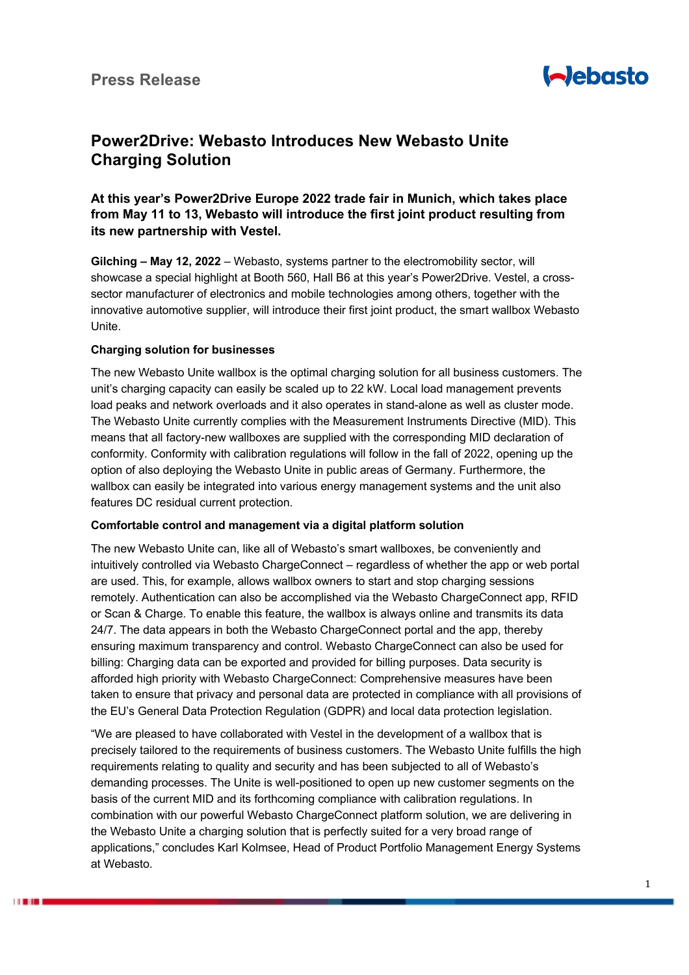

# **Power2Drive: Webasto Introduces New Webasto Unite Charging Solution**

# **At this year's Power2Drive Europe 2022 trade fair in Munich, which takes place from May 11 to 13, Webasto will introduce the first joint product resulting from its new partnership with Vestel.**

**Gilching – May 12, 2022** – Webasto, systems partner to the electromobility sector, will showcase a special highlight at Booth 560, Hall B6 at this year's Power2Drive. Vestel, a crosssector manufacturer of electronics and mobile technologies among others, together with the innovative automotive supplier, will introduce their first joint product, the smart wallbox Webasto Unite.

## **Charging solution for businesses**

*<u>LESSON</u>* 

The new Webasto Unite wallbox is the optimal charging solution for all business customers. The unit's charging capacity can easily be scaled up to 22 kW. Local load management prevents load peaks and network overloads and it also operates in stand-alone as well as cluster mode. The Webasto Unite currently complies with the Measurement Instruments Directive (MID). This means that all factory-new wallboxes are supplied with the corresponding MID declaration of conformity. Conformity with calibration regulations will follow in the fall of 2022, opening up the option of also deploying the Webasto Unite in public areas of Germany. Furthermore, the wallbox can easily be integrated into various energy management systems and the unit also features DC residual current protection.

#### **Comfortable control and management via a digital platform solution**

The new Webasto Unite can, like all of Webasto's smart wallboxes, be conveniently and intuitively controlled via Webasto ChargeConnect – regardless of whether the app or web portal are used. This, for example, allows wallbox owners to start and stop charging sessions remotely. Authentication can also be accomplished via the Webasto ChargeConnect app, RFID or Scan & Charge. To enable this feature, the wallbox is always online and transmits its data 24/7. The data appears in both the Webasto ChargeConnect portal and the app, thereby ensuring maximum transparency and control. Webasto ChargeConnect can also be used for billing: Charging data can be exported and provided for billing purposes. Data security is afforded high priority with Webasto ChargeConnect: Comprehensive measures have been taken to ensure that privacy and personal data are protected in compliance with all provisions of the EU's General Data Protection Regulation (GDPR) and local data protection legislation.

"We are pleased to have collaborated with Vestel in the development of a wallbox that is precisely tailored to the requirements of business customers. The Webasto Unite fulfills the high requirements relating to quality and security and has been subjected to all of Webasto's demanding processes. The Unite is well-positioned to open up new customer segments on the basis of the current MID and its forthcoming compliance with calibration regulations. In combination with our powerful Webasto ChargeConnect platform solution, we are delivering in the Webasto Unite a charging solution that is perfectly suited for a very broad range of applications," concludes Karl Kolmsee, Head of Product Portfolio Management Energy Systems at Webasto.